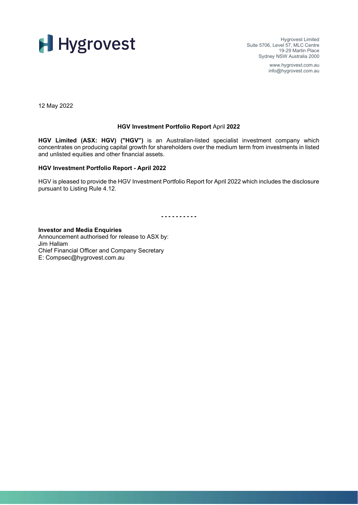

Hygrovest Limited Suite 5706, Level 57, MLC Centre 19-29 Martin Place Sydney NSW Australia 2000

> www.hygrovest.com.au info@hygrovest.com.au

12 May 2022

#### **HGV Investment Portfolio Report** April **2022**

**HGV Limited (ASX: HGV) ("HGV")** is an Australian-listed specialist investment company which concentrates on producing capital growth for shareholders over the medium term from investments in listed and unlisted equities and other financial assets.

#### **HGV Investment Portfolio Report - April 2022**

HGV is pleased to provide the HGV Investment Portfolio Report for April 2022 which includes the disclosure pursuant to Listing Rule 4.12.

*- - - - - - - - - -*

**Investor and Media Enquiries** Announcement authorised for release to ASX by: Jim Hallam Chief Financial Officer and Company Secretary E: Compsec@hygrovest.com.au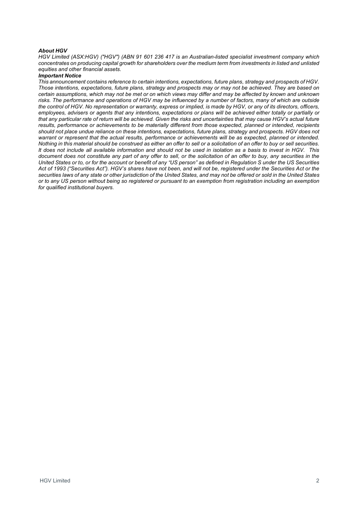#### *About HGV*

*HGV Limited (ASX:HGV) ("HGV") (ABN 91 601 236 417 is an Australian-listed specialist investment company which*  concentrates on producing capital growth for shareholders over the medium term from investments in listed and unlisted *equities and other financial assets.*

#### *Important Notice*

*This announcement contains reference to certain intentions, expectations, future plans, strategy and prospects of HGV. Those intentions, expectations, future plans, strategy and prospects may or may not be achieved. They are based on certain assumptions, which may not be met or on which views may differ and may be affected by known and unknown risks. The performance and operations of HGV may be influenced by a number of factors, many of which are outside the control of HGV. No representation or warranty, express or implied, is made by HGV, or any of its directors, officers, employees, advisers or agents that any intentions, expectations or plans will be achieved either totally or partially or that any particular rate of return will be achieved. Given the risks and uncertainties that may cause HGV's actual future*  results, performance or achievements to be materially different from those expected, planned or intended, recipients *should not place undue reliance on these intentions, expectations, future plans, strategy and prospects. HGV does not warrant or represent that the actual results, performance or achievements will be as expected, planned or intended. Nothing in this material should be construed as either an offer to sell or a solicitation of an offer to buy or sell securities. It does not include all available information and should not be used in isolation as a basis to invest in HGV. This document does not constitute any part of any offer to sell, or the solicitation of an offer to buy, any securities in the United States or to, or for the account or benefit of any "US person" as defined in Regulation S under the US Securities Act of 1993 ("Securities Act"). HGV's shares have not been, and will not be, registered under the Securities Act or the securities laws of any state or other jurisdiction of the United States, and may not be offered or sold in the United States or to any US person without being so registered or pursuant to an exemption from registration including an exemption for qualified institutional buyers.*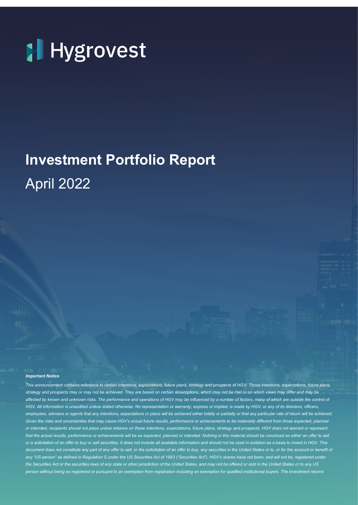

## **Investment Portfolio Report** April 2022

#### *Important Notice*

*This announcement contains reference to certain intentions, expectations, future plans, strategy and prospects of HGV. Those intentions, expectations, future plans, strategy and prospects may or may not be achieved. They are based on certain assumptions, which may not be met or on which views may differ and may be affected by known and unknown risks. The performance and operations of HGV may be influenced by a number of factors, many of which are outside the control of HGV. All information is unaudited unless stated otherwise. No representation or warranty, express or implied, is made by HGV, or any of its directors, officers,*  employees, advisers or agents that any intentions, expectations or plans will be achieved either totally or partially or that any particular rate of return will be achieved. Given the risks and uncertainties that may cause HGV's actual future results, performance or achievements to be materially different from those expected, planned *or intended, recipients should not place undue reliance on these intentions, expectations, future plans, strategy and prospects. HGV does not warrant or represent*  that the actual results, performance or achievements will be as expected, planned or intended. Nothing in this material should be construed as either an offer to sell *or a solicitation of an offer to buy or sell securities. It does not include all available information and should not be used in isolation as a basis to invest in HGV. This*  document does not constitute any part of any offer to sell, or the solicitation of an offer to buy, any securities in the United States or to, or for the account or benefit of any "US person" as defined in Regulation S under the US Securities Act of 1993 ("Securities Act"). HGV's shares have not been, and will not be, registered under *the Securities Act or the securities laws of any state or other jurisdiction of the United States, and may not be offered or sold in the United States or to any US person without being so registered or pursuant to an exemption from registration including an exemption for qualified institutional buyers. The investment returns*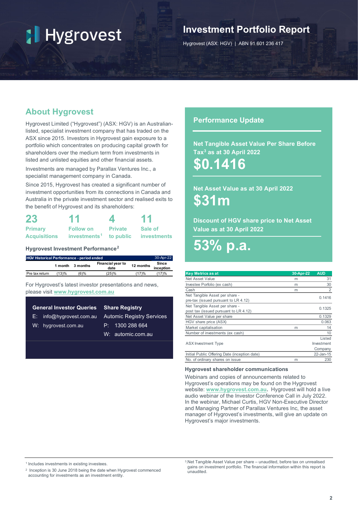### **Investment Portfolio Report**

Hygrovest (ASX: HGV) | ABN 91 601 236 417

### **About Hygrovest**

Hygrovest Limited ("Hygrovest") (ASX: HGV) is an Australianlisted, specialist investment company that has traded on the ASX since 2015. Investors in Hygrovest gain exposure to a portfolio which concentrates on producing capital growth for shareholders over the medium term from investments in listed and unlisted equities and other financial assets.

Investments are managed by Parallax Ventures Inc., a specialist management company in Canada.

Since 2015, Hygrovest has created a significant number of investment opportunities from its connections in Canada and Australia in the private investment sector and realised exits to the benefit of Hygrovest and its shareholders:

| 23                  | 11                                 | 4       | 11             |  |  |
|---------------------|------------------------------------|---------|----------------|--|--|
| <b>Primary</b>      | <b>Follow on</b>                   | Private | <b>Sale of</b> |  |  |
| <b>Acquisitions</b> | investments <sup>1</sup> to public |         | investments    |  |  |

#### **Hygrovest Investment Performance[2](#page-3-1)**

| <b>HGV Historical Performance - period ended</b> |         |          |                           |           | 30-Apr-22          |
|--------------------------------------------------|---------|----------|---------------------------|-----------|--------------------|
|                                                  | 1 month | 3 months | Financial year to<br>date | 12 months | Since<br>inception |
| Pre tax return                                   | (13)%   | 6)%      | (25)%                     | 17)%      | (17)%              |

For Hygrovest's latest investor presentations and news, please visit **[www.hygrovest.com.au](http://www.hygrovest.com.au/)**

| <b>General Investor Queries Share Registry</b> |                                  |  |  |  |  |
|------------------------------------------------|----------------------------------|--|--|--|--|
| $E:$ info@hygrovest.com.au                     | <b>Automic Registry Services</b> |  |  |  |  |
| W: hygrovest.com.au                            | P: 1300 288 664                  |  |  |  |  |
|                                                | W: automic.com.au                |  |  |  |  |
|                                                |                                  |  |  |  |  |

#### **Performance Update**

**Net Tangible Asset Value Per Share Before Tax[3](#page-3-2) as at 30 April 2022**

**\$0.1416**

**Net Asset Value as at 30 April 2022 \$31m**

**Discount of HGV share price to Net Asset Value as at 30 April 2022**

## **53% p.a.**

| <b>Key Metrics as at</b>                                                | 30-Apr-22 | <b>AUD</b> |
|-------------------------------------------------------------------------|-----------|------------|
| Net Asset Value                                                         | m         | 31         |
| Investee Porfolio (ex cash)                                             | m         | 30         |
| Cash                                                                    | m         | 2          |
| Net Tangible Asset per share -<br>pre-tax (issued pursuant to LR 4.12)  |           | 0.1416     |
| Net Tangible Asset per share -<br>post tax (issued pursuant to LR 4.12) |           | 0.1325     |
| Net Asset Value per share                                               |           | 0.1329     |
| HGV share price (ASX)                                                   |           | 0.063      |
| Market capitalisation                                                   | m         | 14         |
| Number of investments (ex cash)                                         |           | 10         |
|                                                                         |           | Listed     |
| <b>ASX</b> Investment Type                                              |           | Investment |
|                                                                         |           | Company    |
| Initial Public Offering Date (inception date)                           |           | 22-Jan-15  |
| No. of ordinary shares on issue                                         | m         | 230        |

#### **Hygrovest shareholder communications**

Webinars and copies of announcements related to Hygrovest's operations may be found on the Hygrovest website: **[www.hygrovest.com.au.](http://www.hygrovest.com.au/)** Hygrovest will hold a live audio webinar of the Investor Conference Call in July 2022. In the webinar, Michael Curtis, HGV Non-Executive Director and Managing Partner of Parallax Ventures Inc, the asset manager of Hygrovest's investments, will give an update on Hygrovest's major investments.

<span id="page-3-2"></span><span id="page-3-0"></span><sup>1</sup> Includes investments in existing investees.

<span id="page-3-1"></span><sup>2</sup> Inception is 30 June 2018 being the date when Hygrovest commenced accounting for investments as an investment entity.

<sup>3.</sup>Net Tangible Asset Value per share – unaudited, before tax on unrealised gains on investment portfolio. The financial information within this report is unaudited.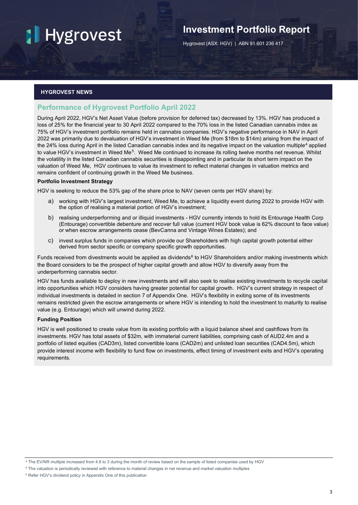## **Investment Portfolio Report**

Hygrovest (ASX: HGV) | ABN 91 601 236 417

#### **HYGROVEST NEWS**

#### **Performance of Hygrovest Portfolio April 2022**

During April 2022, HGV's Net Asset Value (before provision for deferred tax) decreased by 13%. HGV has produced a loss of 25% for the financial year to 30 April 2022 compared to the 70% loss in the listed Canadian cannabis index as 75% of HGV's investment portfolio remains held in cannabis companies. HGV's negative performance in NAV in April 2022 was primarily due to devaluation of HGV's investment in Weed Me (from \$18m to \$14m) arising from the impact of the 2[4](#page-4-0)% loss during April in the listed Canadian cannabis index and its negative impact on the valuation multiple<sup>4</sup> applied to value HGV's investment in Weed Me<sup>5</sup>. Weed Me continued to increase its rolling twelve months net revenue. Whilst the volatility in the listed Canadian cannabis securities is disappointing and in particular its short term impact on the valuation of Weed Me, HGV continues to value its investment to reflect material changes in valuation metrics and remains confident of continuing growth in the Weed Me business.

#### **Portfolio Investment Strategy**

HGV is seeking to reduce the 53% gap of the share price to NAV (seven cents per HGV share) by:

- a) working with HGV's largest investment, Weed Me, to achieve a liquidity event during 2022 to provide HGV with the option of realising a material portion of HGV's investment;
- b) realising underperforming and or illiquid investments HGV currently intends to hold its Entourage Health Corp (Entourage) convertible debenture and recover full value (current HGV book value is 62% discount to face value) or when escrow arrangements cease (BevCanna and Vintage Wines Estates); and
- c) invest surplus funds in companies which provide our Shareholders with high capital growth potential either derived from sector specific or company specific growth opportunities.

Funds received from divestments would be applied as dividends<sup>[6](#page-4-2)</sup> to HGV Shareholders and/or making investments which the Board considers to be the prospect of higher capital growth and allow HGV to diversify away from the underperforming cannabis sector.

HGV has funds available to deploy in new investments and will also seek to realise existing investments to recycle capital into opportunities which HGV considers having greater potential for capital growth. HGV's current strategy in respect of individual investments is detailed in section 7 of Appendix One. HGV's flexibility in exiting some of its investments remains restricted given the escrow arrangements or where HGV is intending to hold the investment to maturity to realise value (e.g. Entourage) which will unwind during 2022.

#### **Funding Position**

HGV is well positioned to create value from its existing portfolio with a liquid balance sheet and cashflows from its investments. HGV has total assets of \$32m, with immaterial current liabilities, comprising cash of AUD2.4m and a portfolio of listed equities (CAD3m), listed convertible loans (CAD2m) and unlisted loan securities (CAD4.5m), which provide interest income with flexibility to fund flow on investments, effect timing of investment exits and HGV's operating requirements.

<span id="page-4-0"></span><sup>4</sup> The EV/NR multiple increased from 4.6 to 3 during the month of review based on the sample of listed companies used by HGV

<span id="page-4-1"></span><sup>5</sup> The valuation is periodically reviewed with reference to material changes in net revenue and market valuation multiples

<span id="page-4-2"></span><sup>6</sup> Refer HGV's dividend policy in Appendix One of this publication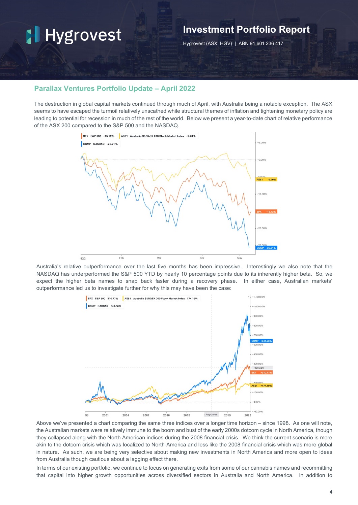### **Investment Portfolio Report**

Hygrovest (ASX: HGV) | ABN 91 601 236 417

#### **Parallax Ventures Portfolio Update – April 2022**

The destruction in global capital markets continued through much of April, with Australia being a notable exception. The ASX seems to have escaped the turmoil relatively unscathed while structural themes of inflation and tightening monetary policy are leading to potential for recession in much of the rest of the world. Below we present a year-to-date chart of relative performance of the ASX 200 compared to the S&P 500 and the NASDAQ.



Australia's relative outperformance over the last five months has been impressive. Interestingly we also note that the NASDAQ has underperformed the S&P 500 YTD by nearly 10 percentage points due to its inherently higher beta. So, we expect the higher beta names to snap back faster during a recovery phase. In either case, Australian markets' outperformance led us to investigate further for why this may have been the case:



Above we've presented a chart comparing the same three indices over a longer time horizon – since 1998. As one will note, the Australian markets were relatively immune to the boom and bust of the early 2000s dotcom cycle in North America, though they collapsed along with the North American indices during the 2008 financial crisis. We think the current scenario is more akin to the dotcom crisis which was localized to North America and less like the 2008 financial crisis which was more global in nature. As such, we are being very selective about making new investments in North America and more open to ideas from Australia though cautious about a lagging effect there.

In terms of our existing portfolio, we continue to focus on generating exits from some of our cannabis names and recommitting that capital into higher growth opportunities across diversified sectors in Australia and North America. In addition to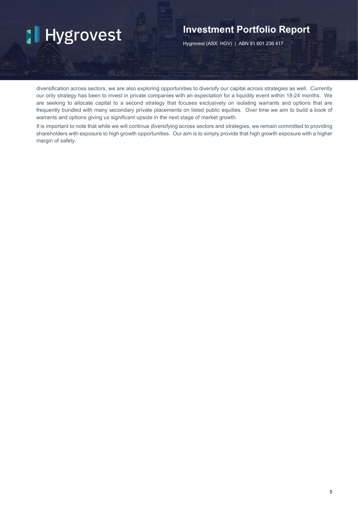### **Investment Portfolio Report**

Hygrovest (ASX: HGV) | ABN 91 601 236 417

diversification across sectors, we are also exploring opportunities to diversify our capital across strategies as well. Currently our only strategy has been to invest in private companies with an expectation for a liquidity event within 18-24 months. We are seeking to allocate capital to a second strategy that focuses exclusively on isolating warrants and options that are frequently bundled with many secondary private placements on listed public equities. Over time we aim to build a book of warrants and options giving us significant upside in the next stage of market growth.

It is important to note that while we will continue diversifying across sectors and strategies, we remain committed to providing shareholders with exposure to high growth opportunities. Our aim is to simply provide that high growth exposure with a higher margin of safety.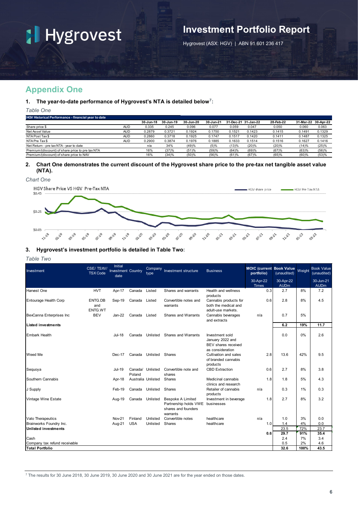## **Investment Portfolio Report**

Hygrovest (ASX: HGV) | ABN 91 601 236 417

### **Appendix One**

#### **1. The year-to-date performance of Hygrovest's NTA is detailed below[7](#page-7-0):**

*Table One*

| <b>HGV Historical Performance - financial year to date</b> |            |           |           |           |           |        |                     |           |                     |        |
|------------------------------------------------------------|------------|-----------|-----------|-----------|-----------|--------|---------------------|-----------|---------------------|--------|
|                                                            |            | 30-Jun-18 | 30-Jun-19 | 30-Jun-20 | 30-Jun-21 |        | 31-Dec-21 31-Jan-22 | 28-Feb-22 | 31-Mar-22 30-Apr-22 |        |
| Share price \$                                             | <b>AUD</b> | 0.335     | 0.245     | 0.096     | 0.077     | 0.059  | 0.047               | 0.050     | 0.060               | 0.063  |
| Net Asset Value                                            | <b>AUD</b> | 0.2879    | 0.3721    | 0.1924    | 0.1750    | 0.1521 | 0.1423              | 0.1415    | 0.1491              | 0.1329 |
| NTA Post Tax \$                                            | <b>AUD</b> | 0.2860    | 0.3718    | 0.1925    | 0.1747    | 0.1517 | 0.1420              | 0.1411    | 0.1487              | 0.1325 |
| NTA Pre Tax \$                                             | <b>AUD</b> | 0.2900    | 0.3874    | 0.1976    | 0.1885    | 0.1633 | 0.1514              | 0.1516    | 0.1627              | 0.1416 |
| Net Return - pre tax NTA - year to date                    |            | n/a       | 34%       | (49)%     | (5)%      | (13)%  | (20)%               | (20)%     | (14)%               | (25)%  |
| Premium/(discount) of share price to pre tax NTA           |            | 16%       | (37)%     | (51)%     | (59)%     | (64)%  | (69)%               | (67)%     | (63)%               | (56)%  |
| Premium/(discount) of share price to NAV                   |            | 16%       | (34)%     | (50)%     | (56)%     | (61)%  | (67)%               | (65)%     | (60)%               | (53)%  |
|                                                            |            |           |           |           |           |        |                     |           |                     |        |

#### **2. Chart One demonstrates the current discount of the Hygrovest share price to the pre-tax net tangible asset value (NTA).**

*Chart One* 



#### **3. Hygrovest's investment portfolio is detailed in Table Two:**

#### *Table Two*

| Investment                    | CSE/TSXV/<br><b>TSX</b> Code | Initial<br><b>Investment Country</b><br>date |                    | Company<br>type | Investment structure                                                                 | <b>Business</b>                                                                       | <b>MOIC (current Book Value</b><br>portfolio) | (unaudited)              | Weight    | <b>Book Value</b><br>(unaudited) |
|-------------------------------|------------------------------|----------------------------------------------|--------------------|-----------------|--------------------------------------------------------------------------------------|---------------------------------------------------------------------------------------|-----------------------------------------------|--------------------------|-----------|----------------------------------|
|                               |                              |                                              |                    |                 |                                                                                      |                                                                                       | 30-Apr-22<br>Times                            | 30-Apr-22<br><b>AUDm</b> |           | 30-Jun-21<br><b>AUDm</b>         |
| Harvest One                   | <b>HVT</b>                   | Apr-17                                       | Canada             | Listed          | Shares and warrants                                                                  | Health and wellness<br>products                                                       | 0.3                                           | 2.7                      | 8%        | 7.2                              |
| Entourage Health Corp         | ENTG.DB<br>and<br>ENTG.WT    | Sep-19                                       | Canada             | Listed          | Convertible notes and<br>warrants                                                    | Cannabis products for<br>both the medical and<br>adult-use markets.                   | 0.6                                           | 2.8                      | 8%        | 4.5                              |
| BevCanna Enterprises Inc      | <b>BEV</b>                   | Jan-22                                       | Canada             | Listed          | Shares and Warrants                                                                  | Cannabis beverages<br>and extracts                                                    | n/a                                           | 0.7                      | 5%        |                                  |
| Listed investments            |                              |                                              |                    |                 |                                                                                      |                                                                                       |                                               | 6.2                      | 19%       | 11.7                             |
| <b>Embark Health</b>          |                              | Jul-18                                       | Canada             | Unlisted        | Shares and Warrants                                                                  | Investment sold<br>January 2022 and<br><b>BEV</b> shares received<br>as consideration |                                               | 0.0                      | 0%        | 2.6                              |
| Weed Me                       |                              | $Dec-17$                                     | Canada             | Unlisted        | Shares                                                                               | Cultivation and sales<br>of branded cannabis<br>products                              | 2.8                                           | 13.6                     | 42%       | 9.5                              |
| Sequoya                       |                              | $Jul-19$                                     | Canada/<br>Poland  | Unlisted        | Convertible note and<br>shares                                                       | <b>CBD Extraction</b>                                                                 | 0.6                                           | 2.7                      | 8%        | 3.8                              |
| Southern Cannabis             |                              | Apr-18                                       | Australia Unlisted |                 | Shares                                                                               | Medicinal cannabis<br>clinics and research                                            | 1.8                                           | 1.8                      | 5%        | 4.3                              |
| J Supply                      |                              | Feb-19                                       | Canada             | Unlisted        | Shares                                                                               | Retailer of cannabis<br>products                                                      | n/a                                           | 0.3                      | 1%        | 0.3                              |
| Vintage Wine Estate           |                              | Aug-19                                       | Canada             | Unlisted        | <b>Bespoke A Limited</b><br>Partnership holds VWE<br>shares and founders<br>warrants | Investment in beverage<br>businesses                                                  | 1.8                                           | 2.7                      | 8%        | 3.2                              |
| Valo Therapeutics             |                              | <b>Nov-21</b>                                | Finland            | Unlisted        | Convertible notes                                                                    | healthcare                                                                            | n/a                                           | 1.0                      | 3%        | 0.0                              |
| Brainworks Foundry Inc.       |                              | Aug-21                                       | <b>USA</b>         | Unlisted        | Shares                                                                               | healthcare                                                                            | 1.0                                           | 1.4                      | 4%        | 0.0                              |
| <b>Unlisted investments</b>   |                              |                                              |                    |                 |                                                                                      |                                                                                       |                                               | 23.5                     | 72%       | 23.7                             |
| Cash                          |                              |                                              |                    |                 |                                                                                      |                                                                                       | 0.6                                           | 29.7<br>2.4              | 91%<br>7% | 35.4<br>3.4                      |
| Company tax refund receivable |                              |                                              |                    |                 |                                                                                      |                                                                                       |                                               | 0.5                      | 2%        | 4.6                              |
| <b>Total Portfolio</b>        |                              |                                              |                    |                 |                                                                                      |                                                                                       |                                               | 32.6                     | 100%      | 43.5                             |

<span id="page-7-0"></span><sup>7</sup> The results for 30 June 2018, 30 June 2019, 30 June 2020 and 30 June 2021 are for the year ended on those dates.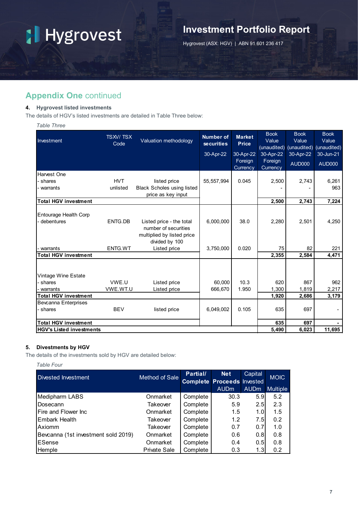## **Investment Portfolio Report**

Hygrovest (ASX: HGV) | ABN 91 601 236 417

### **Appendix One** continued

#### **4. Hygrovest listed investments**

The details of HGV's listed investments are detailed in Table Three below:

*Table Three*

| Investment                      | <b>TSXV/TSX</b><br>Code | Valuation methodology                                                          | <b>Number of</b><br><b>securities</b> | <b>Market</b><br><b>Price</b> | <b>Book</b><br>Value<br>(unaudited) | <b>Book</b><br>Value | <b>Book</b><br>Value<br>(unaudited) (unaudited) |
|---------------------------------|-------------------------|--------------------------------------------------------------------------------|---------------------------------------|-------------------------------|-------------------------------------|----------------------|-------------------------------------------------|
|                                 |                         |                                                                                | 30-Apr-22                             | 30-Apr-22                     | 30-Apr-22                           | 30-Apr-22            | 30-Jun-21                                       |
|                                 |                         |                                                                                |                                       | Foreign<br>Currency           | Foreign<br>Currency                 | AUD000               | <b>AUD000</b>                                   |
| Harvest One                     |                         |                                                                                |                                       |                               |                                     |                      |                                                 |
| shares                          | <b>HVT</b>              | listed price                                                                   | 55, 557, 994                          | 0.045                         | 2,500                               | 2,743                | 6,261                                           |
| warrants                        | unlisted                | <b>Black Scholes using listed</b>                                              |                                       |                               |                                     |                      | 963                                             |
|                                 |                         | price as key input                                                             |                                       |                               |                                     |                      |                                                 |
| <b>Total HGV investment</b>     |                         |                                                                                |                                       |                               | 2,500                               | 2,743                | 7,224                                           |
| Entourage Health Corp           |                         |                                                                                |                                       |                               |                                     |                      |                                                 |
| debentures                      | ENTG.DB                 | Listed price - the total<br>number of securities<br>multiplied by listed price | 6,000,000                             | 38.0                          | 2,280                               | 2,501                | 4,250                                           |
|                                 |                         | divided by 100                                                                 |                                       |                               |                                     |                      |                                                 |
| warrants                        | ENTG.WT                 | Listed price                                                                   | 3,750,000                             | 0.020                         | 75                                  | 82                   | 221                                             |
| <b>Total HGV investment</b>     |                         |                                                                                |                                       |                               | 2,355                               | 2.584                | 4,471                                           |
|                                 |                         |                                                                                |                                       |                               |                                     |                      |                                                 |
| Vintage Wine Estate             |                         |                                                                                |                                       |                               |                                     |                      |                                                 |
| shares                          | VWE.U                   | Listed price                                                                   | 60,000                                | 10.3                          | 620                                 | 867                  | 962                                             |
| warrants                        | VWE.WT.U                | Listed price                                                                   | 666,670                               | 1.950                         | 1,300                               | 1,819                | 2,217                                           |
| <b>Total HGV investment</b>     |                         |                                                                                |                                       |                               | 1,920                               | 2,686                | 3,179                                           |
| <b>Bevcanna Enterprises</b>     |                         |                                                                                |                                       |                               |                                     |                      |                                                 |
| - shares                        | <b>BEV</b>              | listed price                                                                   | 6,049,002                             | 0.105                         | 635                                 | 697                  |                                                 |
| <b>Total HGV investment</b>     |                         |                                                                                |                                       |                               | 635                                 | 697                  |                                                 |
| <b>HGV's Listed investments</b> |                         |                                                                                |                                       |                               | 5,490                               | 6,023                | 11,695                                          |

#### **5. Divestments by HGV**

The details of the investments sold by HGV are detailed below:

*Table Four*

| Divested Investment                 | <b>Method of Sale</b> | Partial/ | <b>Net</b><br><b>Complete Proceeds Invested</b> | Capital     | <b>MOIC</b>     |
|-------------------------------------|-----------------------|----------|-------------------------------------------------|-------------|-----------------|
|                                     |                       |          | <b>AUDm</b>                                     | <b>AUDm</b> | <b>Multiple</b> |
| Medipharm LABS                      | Onmarket              | Complete | 30.3                                            | 5.9         | 5.2             |
| Dosecann                            | Takeover              | Complete | 5.9                                             | 2.5         | 2.3             |
| Fire and Flower Inc.                | Onmarket              | Complete | 1.5                                             | 1.0         | 1.5             |
| Embark Health                       | Takeover              | Complete | 1.2                                             | 7.5         | 0.2             |
| Axiomm                              | Takeover              | Complete | 0.7                                             | 0.7         | 1.0             |
| Bevcanna (1st investment sold 2019) | Onmarket              | Complete | 0.6                                             | 0.8         | 0.8             |
| ESense                              | Onmarket              | Complete | 0.4                                             | 0.5         | 0.8             |
| Hemple                              | <b>Private Sale</b>   | Complete | 0.3                                             | 1.3         | 0.2             |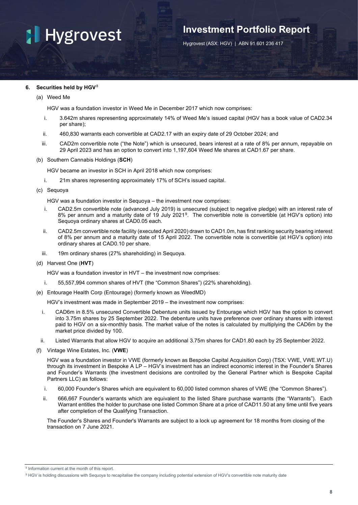## **Investment Portfolio Report**

Hygrovest (ASX: HGV) | ABN 91 601 236 417

#### **6. Securities held by HGV[8](#page-9-0)**

(a) Weed Me

HGV was a foundation investor in Weed Me in December 2017 which now comprises:

- i. 3.642m shares representing approximately 14% of Weed Me's issued capital (HGV has a book value of CAD2.34 per share);
- ii. 460,830 warrants each convertible at CAD2.17 with an expiry date of 29 October 2024; and
- iii. CAD2m convertible note ("the Note") which is unsecured, bears interest at a rate of 8% per annum, repayable on 29 April 2023 and has an option to convert into 1,197,604 Weed Me shares at CAD1.67 per share.
- (b) Southern Cannabis Holdings (**SCH**)

HGV became an investor in SCH in April 2018 which now comprises:

- i. 21m shares representing approximately 17% of SCH's issued capital.
- (c) Sequoya

HGV was a foundation investor in Sequoya – the investment now comprises:

- i. CAD2.5m convertible note (advanced July 2019) is unsecured (subject to negative pledge) with an interest rate of 8% per annum and a maturity date of 19 July 2021[9](#page-9-1). The convertible note is convertible (at HGV's option) into Sequoya ordinary shares at CAD0.05 each.
- ii. CAD2.5m convertible note facility (executed April 2020) drawn to CAD1.0m, has first ranking security bearing interest of 8% per annum and a maturity date of 15 April 2022. The convertible note is convertible (at HGV's option) into ordinary shares at CAD0.10 per share.
- iii. 19m ordinary shares (27% shareholding) in Sequoya.
- (d) Harvest One (**HVT**)

HGV was a foundation investor in HVT – the investment now comprises:

- i. 55,557,994 common shares of HVT (the "Common Shares") (22% shareholding).
- (e) Entourage Health Corp (Entourage) (formerly known as WeedMD)

HGV's investment was made in September 2019 – the investment now comprises:

- i. CAD6m in 8.5% unsecured Convertible Debenture units issued by Entourage which HGV has the option to convert into 3.75m shares by 25 September 2022. The debenture units have preference over ordinary shares with interest paid to HGV on a six-monthly basis. The market value of the notes is calculated by multiplying the CAD6m by the market price divided by 100.
- ii. Listed Warrants that allow HGV to acquire an additional 3.75m shares for CAD1.80 each by 25 September 2022.
- (f) Vintage Wine Estates, Inc. (**VWE**)

HGV was a foundation investor in VWE (formerly known as Bespoke Capital Acquisition Corp) (TSX: VWE, VWE.WT.U) through its investment in Bespoke A LP – HGV's investment has an indirect economic interest in the Founder's Shares and Founder's Warrants (the investment decisions are controlled by the General Partner which is Bespoke Capital Partners LLC) as follows:

- i. 60,000 Founder's Shares which are equivalent to 60,000 listed common shares of VWE (the "Common Shares").
- ii. 666,667 Founder's warrants which are equivalent to the listed Share purchase warrants (the "Warrants"). Each Warrant entitles the holder to purchase one listed Common Share at a price of CAD11.50 at any time until five years after completion of the Qualifying Transaction.

The Founder's Shares and Founder's Warrants are subject to a lock up agreement for 18 months from closing of the transaction on 7 June 2021.

<span id="page-9-0"></span><sup>8</sup> Information current at the month of this report.

<span id="page-9-1"></span><sup>9</sup> HGV is holding discussions with Sequoya to recapitalise the company including potential extension of HGV's convertible note maturity date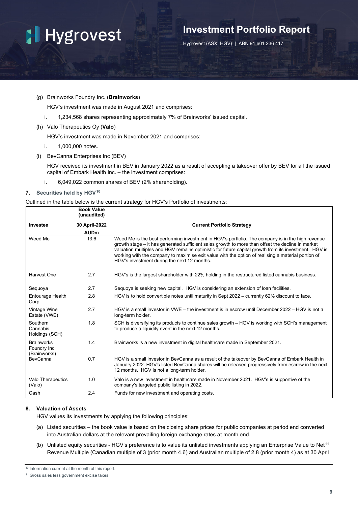## **Investment Portfolio Report**

Hygrovest (ASX: HGV) | ABN 91 601 236 417

#### (g) Brainworks Foundry Inc. (**Brainworks**)

HGV's investment was made in August 2021 and comprises:

- i. 1,234,568 shares representing approximately 7% of Brainworks' issued capital.
- (h) Valo Therapeutics Oy (**Valo**)

HGV's investment was made in November 2021 and comprises:

- i. 1,000,000 notes.
- (i) BevCanna Enterprises Inc (BEV)

HGV received its investment in BEV in January 2022 as a result of accepting a takeover offer by BEV for all the issued capital of Embark Health Inc. – the investment comprises:

i. 6,049,022 common shares of BEV (2% shareholding).

#### **7. Securities held by HGV[10](#page-10-0)**

Outlined in the table below is the current strategy for HGV's Portfolio of investments:

|                                                   | <b>Book Value</b><br>(unaudited) |                                                                                                                                                                                                                                                                                                                                                                                                                                                                    |
|---------------------------------------------------|----------------------------------|--------------------------------------------------------------------------------------------------------------------------------------------------------------------------------------------------------------------------------------------------------------------------------------------------------------------------------------------------------------------------------------------------------------------------------------------------------------------|
| Investee                                          | 30 April-2022                    | <b>Current Portfolio Strategy</b>                                                                                                                                                                                                                                                                                                                                                                                                                                  |
|                                                   | <b>AUDm</b>                      |                                                                                                                                                                                                                                                                                                                                                                                                                                                                    |
| Weed Me                                           | 13.6                             | Weed Me is the best performing investment in HGV's portfolio. The company is in the high revenue<br>growth stage - it has generated sufficient sales growth to more than offset the decline in market<br>valuation multiples and HGV remains optimistic for future capital growth from its investment. HGV is<br>working with the company to maximise exit value with the option of realising a material portion of<br>HGV's investment during the next 12 months. |
| Harvest One                                       | 2.7                              | HGV's is the largest shareholder with 22% holding in the restructured listed cannabis business.                                                                                                                                                                                                                                                                                                                                                                    |
| Sequoya                                           | 2.7                              | Sequoya is seeking new capital. HGV is considering an extension of loan facilities.                                                                                                                                                                                                                                                                                                                                                                                |
| Entourage Health<br>Corp                          | 2.8                              | HGV is to hold convertible notes until maturity in Sept 2022 – currently 62% discount to face.                                                                                                                                                                                                                                                                                                                                                                     |
| Vintage Wine<br>Estate (VWE)                      | 2.7                              | HGV is a small investor in VWE – the investment is in escrow until December 2022 – HGV is not a<br>long-term holder.                                                                                                                                                                                                                                                                                                                                               |
| Southern<br>Cannabis<br>Holdings (SCH)            | 1.8                              | SCH is diversifying its products to continue sales growth – HGV is working with SCH's management<br>to produce a liquidity event in the next 12 months.                                                                                                                                                                                                                                                                                                            |
| <b>Brainworks</b><br>Foundry Inc.<br>(Brainworks) | 1.4                              | Brainworks is a new investment in digital healthcare made in September 2021.                                                                                                                                                                                                                                                                                                                                                                                       |
| BevCanna                                          | 0.7                              | HGV is a small investor in BevCanna as a result of the takeover by BevCanna of Embark Health in<br>January 2022. HGV's listed BevCanna shares will be released progressively from escrow in the next<br>12 months. HGV is not a long-term holder.                                                                                                                                                                                                                  |
| Valo Therapeutics<br>(Valo)                       | 1.0                              | Valo is a new investment in healthcare made in November 2021. HGV's is supportive of the<br>company's targeted public listing in 2022.                                                                                                                                                                                                                                                                                                                             |
| Cash                                              | 2.4                              | Funds for new investment and operating costs.                                                                                                                                                                                                                                                                                                                                                                                                                      |

#### **8. Valuation of Assets**

HGV values its investments by applying the following principles:

- (a) Listed securities the book value is based on the closing share prices for public companies at period end converted into Australian dollars at the relevant prevailing foreign exchange rates at month end.
- (b) Unlisted equity securities HGV's preference is to value its unlisted investments applying an Enterprise Value to Net<sup>[11](#page-11-0)</sup> Revenue Multiple (Canadian multiple of 3 (prior month 4.6) and Australian multiple of 2.8 (prior month 4) as at 30 April

<sup>10</sup> Information current at the month of this report.

<span id="page-10-0"></span><sup>11</sup> Gross sales less government excise taxes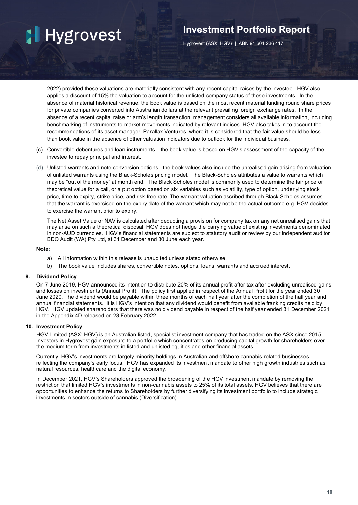## **Investment Portfolio Report**

Hygrovest (ASX: HGV) | ABN 91 601 236 417

2022) provided these valuations are materially consistent with any recent capital raises by the investee. HGV also applies a discount of 15% the valuation to account for the unlisted company status of these investments. In the absence of material historical revenue, the book value is based on the most recent material funding round share prices for private companies converted into Australian dollars at the relevant prevailing foreign exchange rates. In the absence of a recent capital raise or arm's length transaction, management considers all available information, including benchmarking of instruments to market movements indicated by relevant indices. HGV also takes in to account the recommendations of its asset manager, Parallax Ventures, where it is considered that the fair value should be less than book value in the absence of other valuation indicators due to outlook for the individual business.

- (c) Convertible debentures and loan instruments the book value is based on HGV's assessment of the capacity of the investee to repay principal and interest.
- (d) Unlisted warrants and note conversion options the book values also include the unrealised gain arising from valuation of unlisted warrants using the Black-Scholes pricing model. The Black-Scholes attributes a value to warrants which may be "out of the money" at month end. The Black Scholes model is commonly used to determine the fair price or theoretical value for a call, or a put option based on six variables such as volatility, type of option, underlying stock price, time to expiry, strike price, and risk-free rate. The warrant valuation ascribed through Black Scholes assumes that the warrant is exercised on the expiry date of the warrant which may not be the actual outcome e.g. HGV decides to exercise the warrant prior to expiry.

The Net Asset Value or NAV is calculated after deducting a provision for company tax on any net unrealised gains that may arise on such a theoretical disposal. HGV does not hedge the carrying value of existing investments denominated in non-AUD currencies. HGV's financial statements are subject to statutory audit or review by our independent auditor BDO Audit (WA) Pty Ltd, at 31 December and 30 June each year.

#### **Note:**

- a) All information within this release is unaudited unless stated otherwise.
- b) The book value includes shares, convertible notes, options, loans, warrants and accrued interest.

#### **9. Dividend Policy**

On 7 June 2019, HGV announced its intention to distribute 20% of its annual profit after tax after excluding unrealised gains and losses on investments (Annual Profit). The policy first applied in respect of the Annual Profit for the year ended 30 June 2020. The dividend would be payable within three months of each half year after the completion of the half year and annual financial statements. It is HGV's intention that any dividend would benefit from available franking credits held by HGV. HGV updated shareholders that there was no dividend payable in respect of the half year ended 31 December 2021 in the Appendix 4D released on 23 February 2022.

#### **10. Investment Policy**

HGV Limited (ASX: HGV) is an Australian-listed, specialist investment company that has traded on the ASX since 2015. Investors in Hygrovest gain exposure to a portfolio which concentrates on producing capital growth for shareholders over the medium term from investments in listed and unlisted equities and other financial assets.

Currently, HGV's investments are largely minority holdings in Australian and offshore cannabis-related businesses reflecting the company's early focus. HGV has expanded its investment mandate to other high growth industries such as natural resources, healthcare and the digital economy.

<span id="page-11-0"></span>In December 2021, HGV's Shareholders approved the broadening of the HGV investment mandate by removing the restriction that limited HGV's investments in non-cannabis assets to 25% of its total assets. HGV believes that there are opportunities to enhance the returns to Shareholders by further diversifying its investment portfolio to include strategic investments in sectors outside of cannabis (Diversification).